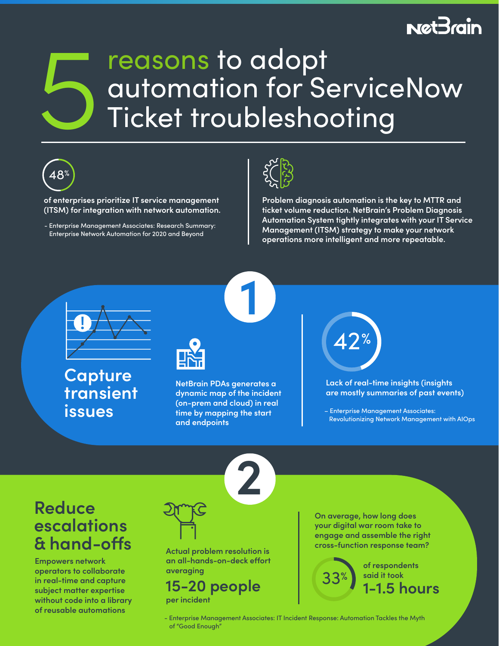# **NetBrain**

# reasons to adopt automation for ServiceNow<br>Ticket troubleshooting



**of enterprises prioritize IT service management (ITSM) for integration with network automation.**

- Enterprise Management Associates: Research Summary: Enterprise Network Automation for 2020 and Beyond



**Problem diagnosis automation is the key to MTTR and ticket volume reduction. NetBrain's Problem Diagnosis Automation System tightly integrates with your IT Service Management (ITSM) strategy to make your network operations more intelligent and more repeatable.** 



**Capture transient issues**



**NetBrain PDAs generates a dynamic map of the incident (on-prem and cloud) in real time by mapping the start and endpoints** 

**1**

**2**



**Lack of real-time insights (insights are mostly summaries of past events)**

– Enterprise Management Associates: Revolutionizing Network Management with AIOps

## **Reduce escalations & hand-os**

**Empowers network operators to collaborate in real-time and capture subject matter expertise without code into a library of reusable automations**



**Actual problem resolution is**  an all-hands-on-deck effort **averaging** 

**per incident 15-20 people**

**On average, how long does your digital war room take to engage and assemble the right cross-function response team?** 



 - Enterprise Management Associates: IT Incident Response: Automation Tackles the Myth of "Good Enough"